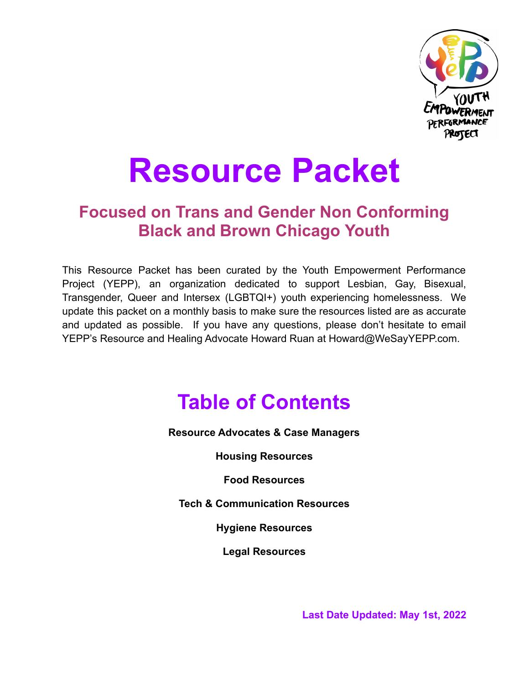

# **Resource Packet**

### **Focused on Trans and Gender Non Conforming Black and Brown Chicago Youth**

This Resource Packet has been curated by the Youth Empowerment Performance Project (YEPP), an organization dedicated to support Lesbian, Gay, Bisexual, Transgender, Queer and Intersex (LGBTQI+) youth experiencing homelessness. We update this packet on a monthly basis to make sure the resources listed are as accurate and updated as possible. If you have any questions, please don't hesitate to email YEPP's Resource and Healing Advocate Howard Ruan at Howard@WeSayYEPP.com.

### **Table of Contents**

**Resource Advocates & Case Managers**

**Housing Resources**

**Food Resources**

**Tech & Communication Resources**

**Hygiene Resources**

**Legal Resources**

**Last Date Updated: May 1st, 2022**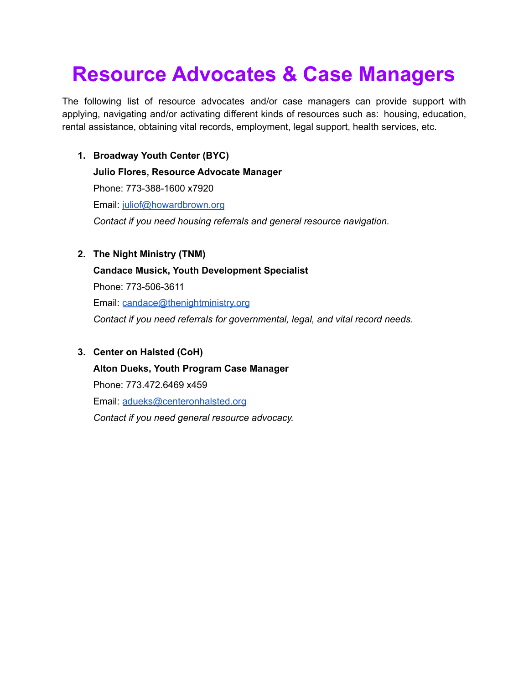### **Resource Advocates & Case Managers**

The following list of resource advocates and/or case managers can provide support with applying, navigating and/or activating different kinds of resources such as: housing, education, rental assistance, obtaining vital records, employment, legal support, health services, etc.

**1. Broadway Youth Center (BYC)**

**Julio Flores, Resource Advocate Manager** Phone: 773-388-1600 x7920 Email: [juliof@howardbrown.org](mailto:juliof@howardbrown.org) *Contact if you need housing referrals and general resource navigation.*

**2. The Night Ministry (TNM)**

**Candace Musick, Youth Development Specialist** Phone: 773-506-3611 Email: [candace@thenightministry.org](mailto:candace@thenightministry.org)

*Contact if you need referrals for governmental, legal, and vital record needs.*

### **3. Center on Halsted (CoH)**

**Alton Dueks, Youth Program Case Manager** Phone: 773.472.6469 x459 Email: [adueks@centeronhalsted.org](mailto:adueks@centeronhalsted.org) *Contact if you need general resource advocacy.*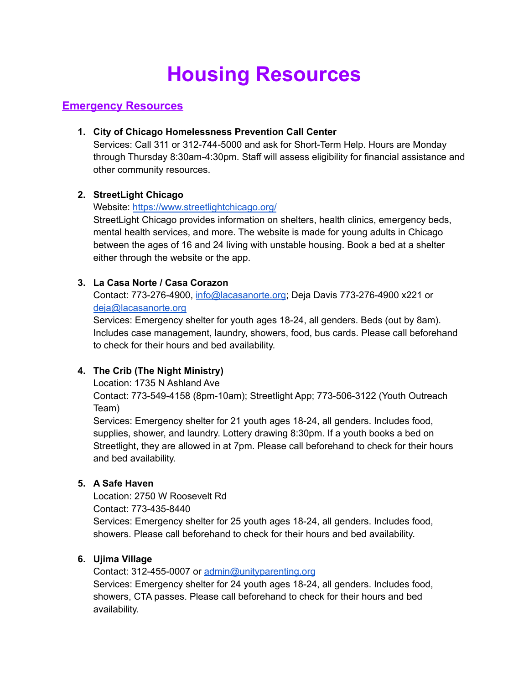## **Housing Resources**

### **Emergency Resources**

### **1. City of Chicago Homelessness Prevention Call Center**

Services: Call 311 or 312-744-5000 and ask for Short-Term Help. Hours are Monday through Thursday 8:30am-4:30pm. Staff will assess eligibility for financial assistance and other community resources.

### **2. StreetLight Chicago**

### Website: <https://www.streetlightchicago.org/>

StreetLight Chicago provides information on shelters, health clinics, emergency beds, mental health services, and more. The website is made for young adults in Chicago between the ages of 16 and 24 living with unstable housing. Book a bed at a shelter either through the website or the app.

### **3. La Casa Norte / Casa Corazon**

Contact: 773-276-4900, [info@lacasanorte.org](mailto:info@lacasanorte.org); Deja Davis 773-276-4900 x221 or [deja@lacasanorte.org](mailto:deja@lacasanorte.org)

Services: Emergency shelter for youth ages 18-24, all genders. Beds (out by 8am). Includes case management, laundry, showers, food, bus cards. Please call beforehand to check for their hours and bed availability.

### **4. The Crib (The Night Ministry)**

Location: 1735 N Ashland Ave

Contact: 773-549-4158 (8pm-10am); Streetlight App; 773-506-3122 (Youth Outreach Team)

Services: Emergency shelter for 21 youth ages 18-24, all genders. Includes food, supplies, shower, and laundry. Lottery drawing 8:30pm. If a youth books a bed on Streetlight, they are allowed in at 7pm. Please call beforehand to check for their hours and bed availability.

### **5. A Safe Haven**

Location: 2750 W Roosevelt Rd Contact: 773-435-8440 Services: Emergency shelter for 25 youth ages 18-24, all genders. Includes food, showers. Please call beforehand to check for their hours and bed availability.

### **6. Ujima Village**

Contact: 312-455-0007 or [admin@unityparenting.org](mailto:admin@unityparenting.org) Services: Emergency shelter for 24 youth ages 18-24, all genders. Includes food, showers, CTA passes. Please call beforehand to check for their hours and bed availability.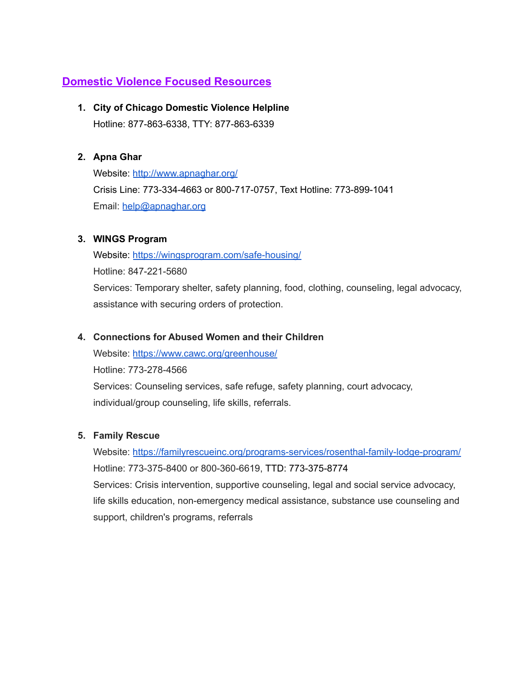### **Domestic Violence Focused Resources**

### **1. City of Chicago Domestic Violence Helpline**

Hotline: 877-863-6338, TTY: 877-863-6339

### **2. Apna Ghar**

Website: <http://www.apnaghar.org/> Crisis Line: 773-334-4663 or 800-717-0757, Text Hotline: 773-899-1041 Email: [help@apnaghar.org](mailto:help@apnaghar.org)

### **3. WINGS Program**

Website: <https://wingsprogram.com/safe-housing/> Hotline: 847-221-5680 Services: Temporary shelter, safety planning, food, clothing, counseling, legal advocacy, assistance with securing orders of protection.

### **4. Connections for Abused Women and their Children**

Website: <https://www.cawc.org/greenhouse/> Hotline: 773-278-4566 Services: Counseling services, safe refuge, safety planning, court advocacy, individual/group counseling, life skills, referrals.

### **5. Family Rescue**

Website: <https://familyrescueinc.org/programs-services/rosenthal-family-lodge-program/> Hotline: 773-375-8400 or 800-360-6619, TTD: 773-375-8774 Services: Crisis intervention, supportive counseling, legal and social service advocacy, life skills education, non-emergency medical assistance, substance use counseling and support, children's programs, referrals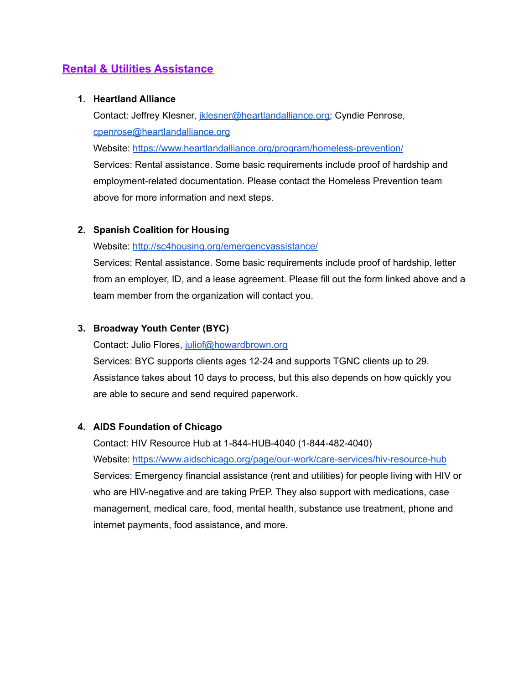### **Rental & Utilities Assistance**

#### **1. Heartland Alliance**

Contact: Jeffrey Klesner, [jklesner@heartlandalliance.org;](mailto:JKlesner@heartlandalliance.org) Cyndie Penrose, [cpenrose@heartlandalliance.org](mailto:cpenrose@heartlandalliance.org)

Website: <https://www.heartlandalliance.org/program/homeless-prevention/>

Services: Rental assistance. Some basic requirements include proof of hardship and employment-related documentation. Please contact the Homeless Prevention team above for more information and next steps.

### **2. Spanish Coalition for Housing**

#### Website: <http://sc4housing.org/emergencyassistance/>

Services: Rental assistance. Some basic requirements include proof of hardship, letter from an employer, ID, and a lease agreement. Please fill out the form linked above and a team member from the organization will contact you.

### **3. Broadway Youth Center (BYC)**

Contact: Julio Flores, [juliof@howardbrown.org](mailto:juliof@howardbrown.org)

Services: BYC supports clients ages 12-24 and supports TGNC clients up to 29. Assistance takes about 10 days to process, but this also depends on how quickly you are able to secure and send required paperwork.

#### **4. AIDS Foundation of Chicago**

Contact: HIV Resource Hub at 1-844-HUB-4040 (1-844-482-4040) Website: <https://www.aidschicago.org/page/our-work/care-services/hiv-resource-hub> Services: Emergency financial assistance (rent and utilities) for people living with HIV or who are HIV-negative and are taking PrEP. They also support with medications, case management, medical care, food, mental health, substance use treatment, phone and internet payments, food assistance, and more.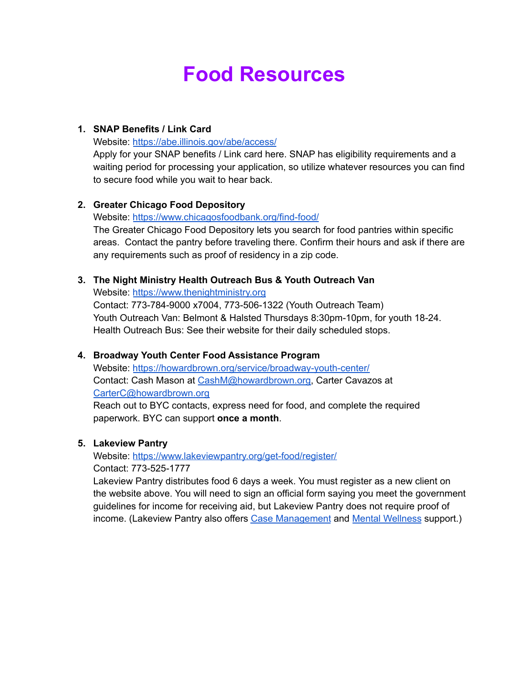### **Food Resources**

#### **1. SNAP Benefits / Link Card**

Website: <https://abe.illinois.gov/abe/access/>

Apply for your SNAP benefits / Link card here. SNAP has eligibility requirements and a waiting period for processing your application, so utilize whatever resources you can find to secure food while you wait to hear back.

### **2. Greater Chicago Food Depository**

Website: <https://www.chicagosfoodbank.org/find-food/> The Greater Chicago Food Depository lets you search for food pantries within specific areas. Contact the pantry before traveling there. Confirm their hours and ask if there are any requirements such as proof of residency in a zip code.

### **3. The Night Ministry Health Outreach Bus & Youth Outreach Van**

Website: <https://www.thenightministry.org>

Contact: 773-784-9000 x7004, 773-506-1322 (Youth Outreach Team) Youth Outreach Van: Belmont & Halsted Thursdays 8:30pm-10pm, for youth 18-24. Health Outreach Bus: See their website for their daily scheduled stops.

### **4. Broadway Youth Center Food Assistance Program**

Website: <https://howardbrown.org/service/broadway-youth-center/> Contact: Cash Mason at [CashM@howardbrown.org,](mailto:CashM@howardbrown.org) Carter Cavazos at [CarterC@howardbrown.org](mailto:CarterC@howardbrown.org)

Reach out to BYC contacts, express need for food, and complete the required paperwork. BYC can support **once a month**.

### **5. Lakeview Pantry**

Website: <https://www.lakeviewpantry.org/get-food/register/> Contact: 773-525-1777

Lakeview Pantry distributes food 6 days a week. You must register as a new client on the website above. You will need to sign an official form saying you meet the government guidelines for income for receiving aid, but Lakeview Pantry does not require proof of income. (Lakeview Pantry also offers Case [Management](https://www.lakeviewpantry.org/social-services/) and Mental [Wellness](https://www.lakeviewpantry.org/mental-wellness-services/) support.)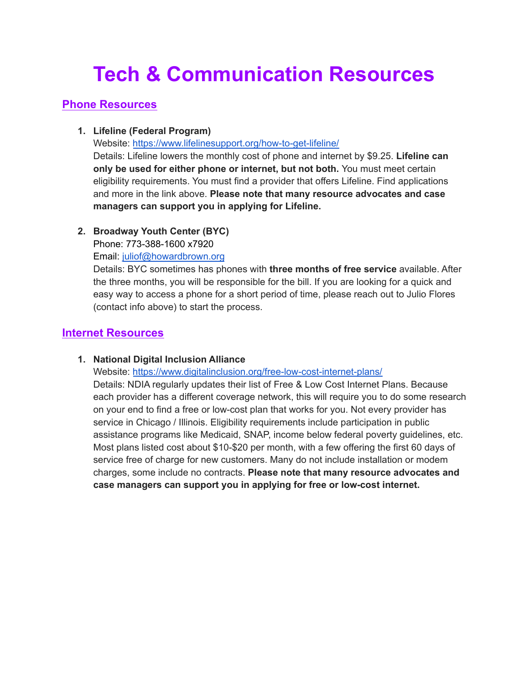### **Tech & Communication Resources**

### **Phone Resources**

### **1. Lifeline (Federal Program)**

Website: <https://www.lifelinesupport.org/how-to-get-lifeline/>

Details: Lifeline lowers the monthly cost of phone and internet by \$9.25. **Lifeline can only be used for either phone or internet, but not both.** You must meet certain eligibility requirements. You must find a provider that offers Lifeline. Find applications and more in the link above. **Please note that many resource advocates and case managers can support you in applying for Lifeline.**

### **2. Broadway Youth Center (BYC)**

Phone: 773-388-1600 x7920

Email: [juliof@howardbrown.org](mailto:juliof@howardbrown.org)

Details: BYC sometimes has phones with **three months of free service** available. After the three months, you will be responsible for the bill. If you are looking for a quick and easy way to access a phone for a short period of time, please reach out to Julio Flores (contact info above) to start the process.

### **Internet Resources**

### **1. National Digital Inclusion Alliance**

Website: <https://www.digitalinclusion.org/free-low-cost-internet-plans/>

Details: NDIA regularly updates their list of Free & Low Cost Internet Plans. Because each provider has a different coverage network, this will require you to do some research on your end to find a free or low-cost plan that works for you. Not every provider has service in Chicago / Illinois. Eligibility requirements include participation in public assistance programs like Medicaid, SNAP, income below federal poverty guidelines, etc. Most plans listed cost about \$10-\$20 per month, with a few offering the first 60 days of service free of charge for new customers. Many do not include installation or modem charges, some include no contracts. **Please note that many resource advocates and case managers can support you in applying for free or low-cost internet.**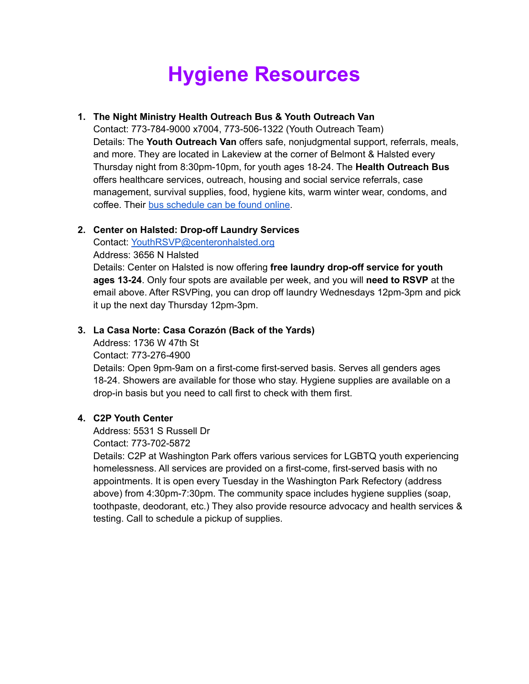### **Hygiene Resources**

### **1. The Night Ministry Health Outreach Bus & Youth Outreach Van**

Contact: 773-784-9000 x7004, 773-506-1322 (Youth Outreach Team) Details: The **Youth Outreach Van** offers safe, nonjudgmental support, referrals, meals, and more. They are located in Lakeview at the corner of Belmont & Halsted every Thursday night from 8:30pm-10pm, for youth ages 18-24. The **Health Outreach Bus** offers healthcare services, outreach, housing and social service referrals, case management, survival supplies, food, hygiene kits, warm winter wear, condoms, and coffee. Their bus [schedule](https://www.thenightministry.org/healthcare#locations) can be found online.

### **2. Center on Halsted: Drop-off Laundry Services**

Contact: [YouthRSVP@centeronhalsted.org](mailto:YouthRSVP@centeronhalsted.org)

Address: 3656 N Halsted

Details: Center on Halsted is now offering **free laundry drop-off service for youth ages 13-24**. Only four spots are available per week, and you will **need to RSVP** at the email above. After RSVPing, you can drop off laundry Wednesdays 12pm-3pm and pick it up the next day Thursday 12pm-3pm.

### **3. La Casa Norte: Casa Corazón (Back of the Yards)**

Address: 1736 W 47th St Contact: 773-276-4900 Details: Open 9pm-9am on a first-come first-served basis. Serves all genders ages 18-24. Showers are available for those who stay. Hygiene supplies are available on a drop-in basis but you need to call first to check with them first.

### **4. C2P Youth Center**

Address: 5531 S Russell Dr

Contact: 773-702-5872

Details: C2P at Washington Park offers various services for LGBTQ youth experiencing homelessness. All services are provided on a first-come, first-served basis with no appointments. It is open every Tuesday in the Washington Park Refectory (address above) from 4:30pm-7:30pm. The community space includes hygiene supplies (soap, toothpaste, deodorant, etc.) They also provide resource advocacy and health services & testing. Call to schedule a pickup of supplies.